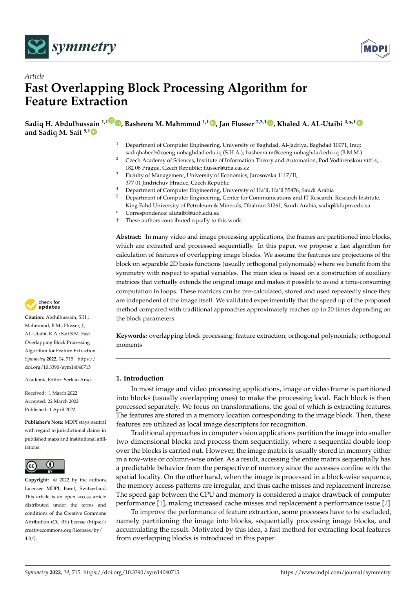



# *Article* **Fast Overlapping Block Processing Algorithm for Feature Extraction**

**Sadiq H. Abdulhuss[ain](https://orcid.org/0000-0002-4796-0581) 1,[†](https://orcid.org/0000-0002-6439-0082) [,](https://orcid.org/0000-0002-6439-0082) Basheera M. Mahmmod 1,† [,](https://orcid.org/0000-0002-4121-0843) Jan Flusser 2,3,[†](https://orcid.org/0000-0003-3747-9214) , Khaled A. AL-Utaibi 4,\* ,[†](https://orcid.org/0000-0002-3965-5018) and Sadiq M. Sait 5,†**

- <sup>1</sup> Department of Computer Engineering, University of Baghdad, Al-Jadriya, Baghdad 10071, Iraq; sadiqhabeeb@coeng.uobaghdad.edu.iq (S.H.A.); basheera.m@coeng.uobaghdad.edu.iq (B.M.M.)
- <sup>2</sup> Czech Academy of Sciences, Institute of Information Theory and Automation, Pod Vodárenskou vìží 4, 182 08 Prague, Czech Republic; flusser@utia.cas.cz
- <sup>3</sup> Faculty of Management, University of Economics, Jarosovska 1117/II, 377 01 Jindrichuv Hradec, Czech Republic
- <sup>4</sup> Department of Computer Engineering, University of Ha'il, Ha'il 55476, Saudi Arabia<sup>5</sup>
- <sup>5</sup> Department of Computer Engineering, Center for Communications and IT Research, Research Institute, King Fahd University of Petroleum & Minerals, Dhahran 31261, Saudi Arabia; sadiq@kfupm.edu.sa
- **\*** Correspondence: alutaibi@uoh.edu.sa
- † These authors contributed equally to this work.

**Abstract:** In many video and image processing applications, the frames are partitioned into blocks, which are extracted and processed sequentially. In this paper, we propose a fast algorithm for calculation of features of overlapping image blocks. We assume the features are projections of the block on separable 2D basis functions (usually orthogonal polynomials) where we benefit from the symmetry with respect to spatial variables. The main idea is based on a construction of auxiliary matrices that virtually extends the original image and makes it possible to avoid a time-consuming computation in loops. These matrices can be pre-calculated, stored and used repeatedly since they are independent of the image itself. We validated experimentally that the speed up of the proposed method compared with traditional approaches approximately reaches up to 20 times depending on the block parameters.

**Keywords:** overlapping block processing; feature extraction; orthogonal polynomials; orthogonal moments

# **1. Introduction**

In most image and video processing applications, image or video frame is partitioned into blocks (usually overlapping ones) to make the processing local. Each block is then processed separately. We focus on transformations, the goal of which is extracting features. The features are stored in a memory location corresponding to the image block. Then, these features are utilized as local image descriptors for recognition.

Traditional approaches in computer vision applications partition the image into smaller two-dimensional blocks and process them sequentially, where a sequential double loop over the blocks is carried out. However, the image matrix is usually stored in memory either in a row-wise or column-wise order. As a result, accessing the entire matrix sequentially has a predictable behavior from the perspective of memory since the accesses confine with the spatial locality. On the other hand, when the image is processed in a block-wise sequence, the memory access patterns are irregular, and thus cache misses and replacement increase. The speed gap between the CPU and memory is considered a major drawback of computer performance [\[1\]](#page-11-0), making increased cache misses and replacement a performance issue [\[2\]](#page-11-1).

To improve the performance of feature extraction, some processes have to be excluded, namely partitioning the image into blocks, sequentially processing image blocks, and accumulating the result. Motivated by this idea, a fast method for extracting local features from overlapping blocks is introduced in this paper.



**Citation:** Abdulhussain, S.H.; Mahmmod, B.M.; Flusser, J.; AL-Utaibi, K.A.; Sait S.M. Fast Overlapping Block Processing Algorithm for Feature Extraction. *Symmetry* **2022**, *14*, 715. [https://](https://doi.org/10.3390/sym14040715) [doi.org/10.3390/sym14040715](https://doi.org/10.3390/sym14040715)

Academic Editor: Serkan Araci

Received: 1 March 2022 Accepted: 22 March 2022 Published: 1 April 2022

**Publisher's Note:** MDPI stays neutral with regard to jurisdictional claims in published maps and institutional affiliations.



**Copyright:** © 2022 by the authors. Licensee MDPI, Basel, Switzerland. This article is an open access article distributed under the terms and conditions of the Creative Commons Attribution (CC BY) license [\(https://](https://creativecommons.org/licenses/by/4.0/) [creativecommons.org/licenses/by/](https://creativecommons.org/licenses/by/4.0/)  $4.0/$ ).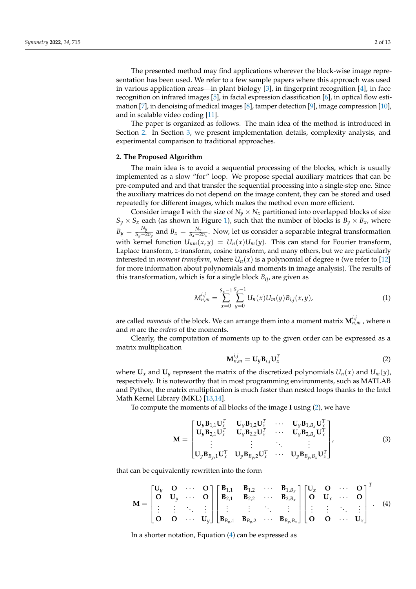The presented method may find applications wherever the block-wise image representation has been used. We refer to a few sample papers where this approach was used in various application areas—in plant biology [\[3\]](#page-11-2), in fingerprint recognition [\[4\]](#page-11-3), in face recognition on infrared images [\[5\]](#page-11-4), in facial expression classification [\[6\]](#page-11-5), in optical flow estimation [\[7\]](#page-11-6), in denoising of medical images [\[8\]](#page-11-7), tamper detection [\[9\]](#page-11-8), image compression [\[10\]](#page-11-9), and in scalable video coding [\[11\]](#page-11-10).

The paper is organized as follows. The main idea of the method is introduced in Section [2.](#page-1-0) In Section [3,](#page-5-0) we present implementation details, complexity analysis, and experimental comparison to traditional approaches.

# <span id="page-1-0"></span>**2. The Proposed Algorithm**

The main idea is to avoid a sequential processing of the blocks, which is usually implemented as a slow "for" loop. We propose special auxiliary matrices that can be pre-computed and and that transfer the sequential processing into a single-step one. Since the auxiliary matrices do not depend on the image content, they can be stored and used repeatedly for different images, which makes the method even more efficient.

Consider image **I** with the size of  $N_y \times N_x$  partitioned into overlapped blocks of size  $S_y \times S_x$  each (as shown in Figure [1\)](#page-2-0), such that the number of blocks is  $B_y \times B_x$ , where  $B_y = \frac{N_y}{S_y-2}$  $\frac{N_y}{S_y-2v_y}$  and  $B_x = \frac{N_x}{S_x-2v_x}$ . Now, let us consider a separable integral transformation with kernel function  $U_{nm}(x, y) = U_n(x)U_m(y)$ . This can stand for Fourier transform, Laplace transform, *z*-transform, cosine transform, and many others, but we are particularly interested in *moment transform*, where  $U_n(x)$  is a polynomial of degree *n* (we refer to [\[12\]](#page-11-11) for more information about polynomials and moments in image analysis). The results of this transformation, which is for a single block *Bij*, are given as

$$
M_{n,m}^{i,j} = \sum_{x=0}^{S_x - 1} \sum_{y=0}^{S_y - 1} U_n(x) U_m(y) B_{i,j}(x, y), \qquad (1)
$$

are called *moments* of the block. We can arrange them into a moment matrix **M** *i*,*j <sup>n</sup>*,*<sup>m</sup>* , where *n* and *m* are the *orders* of the moments.

Clearly, the computation of moments up to the given order can be expressed as a matrix multiplication

<span id="page-1-2"></span><span id="page-1-1"></span>
$$
\mathbf{M}_{n,m}^{i,j} = \mathbf{U}_y \mathbf{B}_{i,j} \mathbf{U}_x^T
$$
 (2)

where  $U_x$  and  $U_y$  represent the matrix of the discretized polynomials  $U_n(x)$  and  $U_m(y)$ , respectively. It is noteworthy that in most programming environments, such as MATLAB and Python, the matrix multiplication is much faster than nested loops thanks to the Intel Math Kernel Library (MKL) [\[13](#page-12-0)[,14\]](#page-12-1).

To compute the moments of all blocks of the image **I** using [\(2\)](#page-1-1), we have

$$
\mathbf{M} = \begin{bmatrix} \mathbf{U}_{y} \mathbf{B}_{1,1} \mathbf{U}_{x}^{T} & \mathbf{U}_{y} \mathbf{B}_{1,2} \mathbf{U}_{x}^{T} & \cdots & \mathbf{U}_{y} \mathbf{B}_{1,B_{x}} \mathbf{U}_{x}^{T} \\ \mathbf{U}_{y} \mathbf{B}_{2,1} \mathbf{U}_{x}^{T} & \mathbf{U}_{y} \mathbf{B}_{2,2} \mathbf{U}_{x}^{T} & \cdots & \mathbf{U}_{y} \mathbf{B}_{2,B_{x}} \mathbf{U}_{x}^{T} \\ \vdots & \vdots & \ddots & \vdots \\ \mathbf{U}_{y} \mathbf{B}_{B_{y},1} \mathbf{U}_{x}^{T} & \mathbf{U}_{y} \mathbf{B}_{B_{y},2} \mathbf{U}_{x}^{T} & \cdots & \mathbf{U}_{y} \mathbf{B}_{B_{y},B_{x}} \mathbf{U}_{x}^{T} \end{bmatrix},
$$
(3)

that can be equivalently rewritten into the form

$$
\mathbf{M} = \begin{bmatrix} \mathbf{U}_{y} & \mathbf{O} & \cdots & \mathbf{O} \\ \mathbf{O} & \mathbf{U}_{y} & \cdots & \mathbf{O} \\ \vdots & \vdots & \ddots & \vdots \\ \mathbf{O} & \mathbf{O} & \cdots & \mathbf{U}_{y} \end{bmatrix} \begin{bmatrix} \mathbf{B}_{1,1} & \mathbf{B}_{1,2} & \cdots & \mathbf{B}_{1,B_{x}} \\ \mathbf{B}_{2,1} & \mathbf{B}_{2,2} & \cdots & \mathbf{B}_{2,B_{x}} \\ \vdots & \vdots & \ddots & \vdots \\ \mathbf{B}_{B_{y},1} & \mathbf{B}_{B_{y},2} & \cdots & \mathbf{B}_{B_{y},B_{x}} \end{bmatrix} \begin{bmatrix} \mathbf{U}_{x} & \mathbf{O} & \cdots & \mathbf{O} \\ \mathbf{O} & \mathbf{U}_{x} & \cdots & \mathbf{O} \\ \vdots & \vdots & \ddots & \vdots \\ \mathbf{O} & \mathbf{O} & \cdots & \mathbf{U}_{x} \end{bmatrix}^{T}.
$$
 (4)

In a shorter notation, Equation [\(4\)](#page-1-2) can be expressed as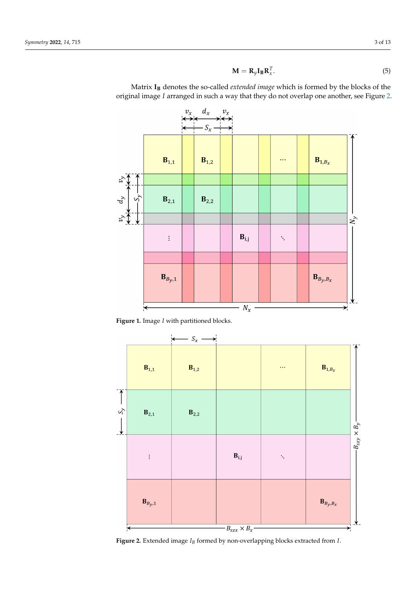<span id="page-2-2"></span>
$$
\mathbf{M} = \mathbf{R}_y \mathbf{I}_\mathbf{B} \mathbf{R}_x^T. \tag{5}
$$

<span id="page-2-0"></span> $d_{\boldsymbol{x}}$  $v_x$  $S_{\rm r}$  $\mathbf{B}_{1,B_x}$  $B_{1,2}$  $\ddotsc$  $B_{1,1}$  $B_{2,1}$ d.,  $B_{2,2}$  $N_{\gamma}$  $\mathbf{B}_{i,j}$  $\vdots$  $\ddot{\cdot}$  $\mathbf{B}_{B_y,1}$  $\mathbf{B}_{B_{y},B_{x}}$ ¥.  $N_{x}$ 

Matrix **I<sup>B</sup>** denotes the so-called *extended image* which is formed by the blocks of the original image *I* arranged in such a way that they do not overlap one another, see Figure [2.](#page-2-1)

**Figure 1.** Image *I* with partitioned blocks.

<span id="page-2-1"></span> $S_{x}$ .  $$  $B_{1,2}$ ...  $B_{1,B_x}$  $\int$  $S_{\gamma}$  $\mathbf{B}_{2,1}$  $B_{2,2}$  $B_{szy}\times B_y$  — ╰╋  $\ddot{\cdot}$  $B_{i,j}$  $\vdots$  $\mathbf{B}_{B_{y},1}$  $\mathbf{B}_{B_y,B_x}$ ∗.  $B_{szx} \times B_x$ 

**Figure 2.** Extended image *I<sup>B</sup>* formed by non-overlapping blocks extracted from *I*.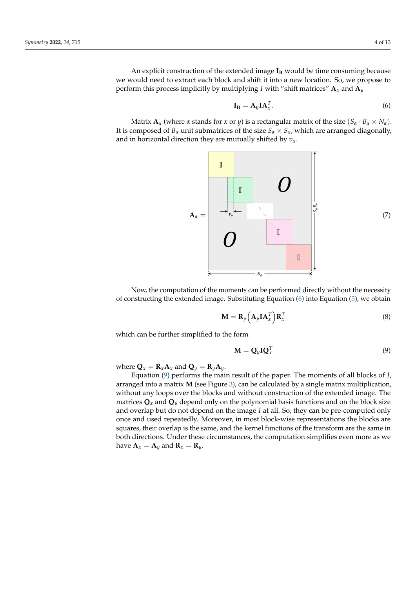An explicit construction of the extended image **I<sup>B</sup>** would be time consuming because we would need to extract each block and shift it into a new location. So, we propose to perform this process implicitly by multiplying *I* with "shift matrices"  $A_x$  and  $A_y$ 

<span id="page-3-0"></span>
$$
\mathbf{I}_{\mathbf{B}} = \mathbf{A}_{y} \mathbf{I} \mathbf{A}_{x}^{T}.
$$
 (6)

Matrix **A**<sub>*α*</sub> (where *α* stands for *x* or *y*) is a rectangular matrix of the size ( $S_\alpha \cdot B_\alpha \times N_\alpha$ ). It is composed of  $B_\alpha$  unit submatrices of the size  $S_\alpha \times S_\alpha$ , which are arranged diagonally, and in horizontal direction they are mutually shifted by *vα*.



Now, the computation of the moments can be performed directly without the necessity of constructing the extended image. Substituting Equation [\(6\)](#page-3-0) into Equation [\(5\)](#page-2-2), we obtain

$$
\mathbf{M} = \mathbf{R}_{y} \left( \mathbf{A}_{y} \mathbf{I} \mathbf{A}_{x}^{T} \right) \mathbf{R}_{x}^{T}
$$
 (8)

which can be further simplified to the form

<span id="page-3-1"></span>
$$
\mathbf{M} = \mathbf{Q}_y \mathbf{I} \mathbf{Q}_x^T \tag{9}
$$

where  $Q_x = R_x A_x$  and  $Q_y = R_y A_y$ .

Equation [\(9\)](#page-3-1) performs the main result of the paper. The moments of all blocks of *I*, arranged into a matrix **M** (see Figure [3\)](#page-4-0), can be calculated by a single matrix multiplication, without any loops over the blocks and without construction of the extended image. The matrices  $\mathbf{Q}_x$  and  $\mathbf{Q}_y$  depend only on the polynomial basis functions and on the block size and overlap but do not depend on the image *I* at all. So, they can be pre-computed only once and used repeatedly. Moreover, in most block-wise representations the blocks are squares, their overlap is the same, and the kernel functions of the transform are the same in both directions. Under these circumstances, the computation simplifies even more as we have  $\mathbf{A}_x = \mathbf{A}_y$  and  $\mathbf{R}_x = \mathbf{R}_y$ .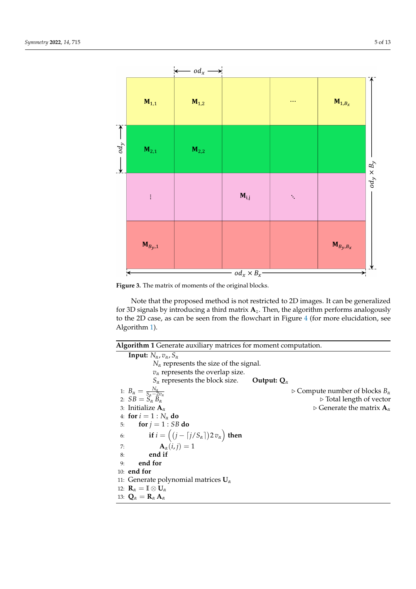<span id="page-4-0"></span>

**Figure 3.** The matrix of moments of the original blocks.

Note that the proposed method is not restricted to 2D images. It can be generalized for 3D signals by introducing a third matrix **A***z*. Then, the algorithm performs analogously to the 2D case, as can be seen from the flowchart in Figure [4](#page-5-1) (for more elucidation, see Algorithm [1\)](#page-4-1).

```
Algorithm 1 Generate auxiliary matrices for moment computation.
     Input: Nα, vα, Sα
                Nα represents the size of the signal.
                v_{\alpha} represents the overlap size.
                Sα represents the block size. Output: Qα
  1: B_{\alpha} = \frac{N_{\alpha}}{S_{\alpha}-2v_{\alpha}}. Compute number of blocks Bα
 2: SB = S_{\alpha} B_{\alpha}<br>
3: Initialize A_{\alpha} b Total length of vector<br>
\triangleright Generate the matrix A_{\alpha}3: Initialize Aα . Generate the matrix Aα
 4: for i = 1 : N_{\alpha} do<br>5: for j = 1 : SBfor j = 1 : SB do
  6: if i = \left( (j - \lceil j / S_{\alpha} \rceil) 2 v_{\alpha} \right) then
  7: A<sub>α</sub>(i, j) = 18: end if
 9: end for
10: end for
11: Generate polynomial matrices Uα
12: \mathbf{R}_{\alpha} = \mathbb{I} \otimes \mathbf{U}_{\alpha}13: Q_{\alpha} = R_{\alpha} A_{\alpha}
```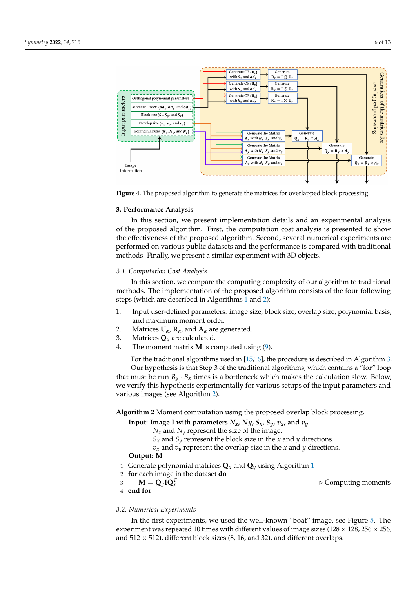<span id="page-5-1"></span>

**Figure 4.** The proposed algorithm to generate the matrices for overlapped block processing.

## <span id="page-5-0"></span>**3. Performance Analysis**

In this section, we present implementation details and an experimental analysis of the proposed algorithm. First, the computation cost analysis is presented to show the effectiveness of the proposed algorithm. Second, several numerical experiments are performed on various public datasets and the performance is compared with traditional methods. Finally, we present a similar experiment with 3D objects.

## *3.1. Computation Cost Analysis*

In this section, we compare the computing complexity of our algorithm to traditional methods. The implementation of the proposed algorithm consists of the four following steps (which are described in Algorithms [1](#page-4-1) and [2\)](#page-5-2):

- 1. Input user-defined parameters: image size, block size, overlap size, polynomial basis, and maximum moment order.
- 2. Matrices **U***α*, **R***α*, and **A***<sup>α</sup>* are generated.
- 3. Matrices **Q***<sup>α</sup>* are calculated.
- 4. The moment matrix **M** is computed using [\(9\)](#page-3-1).

For the traditional algorithms used in [\[15,](#page-12-2)[16\]](#page-12-3), the procedure is described in Algorithm [3.](#page-6-0) Our hypothesis is that Step 3 of the traditional algorithms, which contains a "for" loop that must be run  $B_y \cdot B_x$  times is a bottleneck which makes the calculation slow. Below, we verify this hypothesis experimentally for various setups of the input parameters and various images (see Algorithm [2\)](#page-5-2).

<span id="page-5-2"></span>

| Algorithm 2 Moment computation using the proposed overlap block processing.                            |
|--------------------------------------------------------------------------------------------------------|
| Input: Image I with parameters $N_x$ , $Ny$ , $S_x$ , $S_y$ , $v_x$ , and $v_y$                        |
| $N_x$ and $N_y$ represent the size of the image.                                                       |
| $S_x$ and $S_y$ represent the block size in the <i>x</i> and <i>y</i> directions.                      |
| $v_x$ and $v_y$ represent the overlap size in the x and y directions.                                  |
| Output: M                                                                                              |
| 1: Generate polynomial matrices $\mathbf{Q}_x$ and $\mathbf{Q}_y$ using Algorithm 1                    |
| 2: for each image in the dataset do                                                                    |
| 3: $\mathbf{M} = \mathbf{Q}_{\nu} \mathbf{I} \mathbf{Q}_{x}^{T}$<br>$\triangleright$ Computing moments |
| 4: end for                                                                                             |

#### *3.2. Numerical Experiments*

In the first experiments, we used the well-known "boat" image, see Figure [5.](#page-6-1) The experiment was repeated 10 times with different values of image sizes ( $128 \times 128$ ,  $256 \times 256$ , and  $512 \times 512$ ), different block sizes (8, 16, and 32), and different overlaps.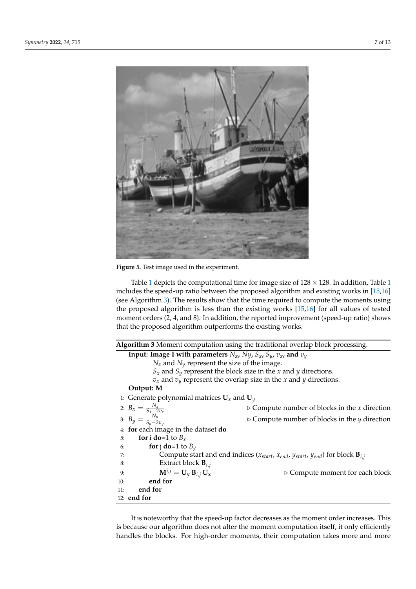<span id="page-6-1"></span>

**Figure 5.** Test image used in the experiment.

Table [1](#page-7-0) depicts the computational time for image size of  $128 \times 128$ . In addition, Table 1 includes the speed-up ratio between the proposed algorithm and existing works in [\[15,](#page-12-2)[16\]](#page-12-3) (see Algorithm [3\)](#page-6-0). The results show that the time required to compute the moments using the proposed algorithm is less than the existing works [\[15](#page-12-2)[,16\]](#page-12-3) for all values of tested moment orders (2, 4, and 8). In addition, the reported improvement (speed-up ratio) shows that the proposed algorithm outperforms the existing works.

<span id="page-6-0"></span>

| Algorithm 3 Moment computation using the traditional overlap block processing.                                                                  |  |  |  |  |  |  |  |  |  |
|-------------------------------------------------------------------------------------------------------------------------------------------------|--|--|--|--|--|--|--|--|--|
| Input: Image I with parameters $N_x$ , $Ny$ , $S_x$ , $S_y$ , $v_x$ , and $v_y$                                                                 |  |  |  |  |  |  |  |  |  |
| $N_x$ and $N_y$ represent the size of the image.                                                                                                |  |  |  |  |  |  |  |  |  |
| $S_x$ and $S_y$ represent the block size in the x and y directions.                                                                             |  |  |  |  |  |  |  |  |  |
| $v_x$ and $v_y$ represent the overlap size in the x and y directions.                                                                           |  |  |  |  |  |  |  |  |  |
| Output: M                                                                                                                                       |  |  |  |  |  |  |  |  |  |
| 1: Generate polynomial matrices $U_x$ and $U_y$                                                                                                 |  |  |  |  |  |  |  |  |  |
| 2: $B_x = \frac{N_x}{S_x - 2v_x}$<br>$\triangleright$ Compute number of blocks in the x direction                                               |  |  |  |  |  |  |  |  |  |
| 3: $B_y = \frac{N_y}{S_y - 2v_y}$<br>$\triangleright$ Compute number of blocks in the <i>y</i> direction                                        |  |  |  |  |  |  |  |  |  |
| 4: for each image in the dataset do                                                                                                             |  |  |  |  |  |  |  |  |  |
| for i do=1 to $B_x$<br>5:                                                                                                                       |  |  |  |  |  |  |  |  |  |
| <b>for</b> j <b>do</b> =1 to $B_v$<br>6:                                                                                                        |  |  |  |  |  |  |  |  |  |
| Compute start and end indices ( $x_{start}$ , $x_{end}$ , $y_{start}$ , $y_{end}$ ) for block $\mathbf{B}_{i,j}$<br>7:                          |  |  |  |  |  |  |  |  |  |
| Extract block $B_{i,j}$<br>8:                                                                                                                   |  |  |  |  |  |  |  |  |  |
| $\mathbf{M}^{i,j} = \mathbf{U}_\mathbf{y} \, \mathbf{B}_{i,j} \, \mathbf{U}_\mathbf{x}$<br>9:<br>$\triangleright$ Compute moment for each block |  |  |  |  |  |  |  |  |  |
| end for<br>10:                                                                                                                                  |  |  |  |  |  |  |  |  |  |
| end for<br>11:                                                                                                                                  |  |  |  |  |  |  |  |  |  |
| 12: end for                                                                                                                                     |  |  |  |  |  |  |  |  |  |

It is noteworthy that the speed-up factor decreases as the moment order increases. This is because our algorithm does not alter the moment computation itself, it only efficiently handles the blocks. For high-order moments, their computation takes more and more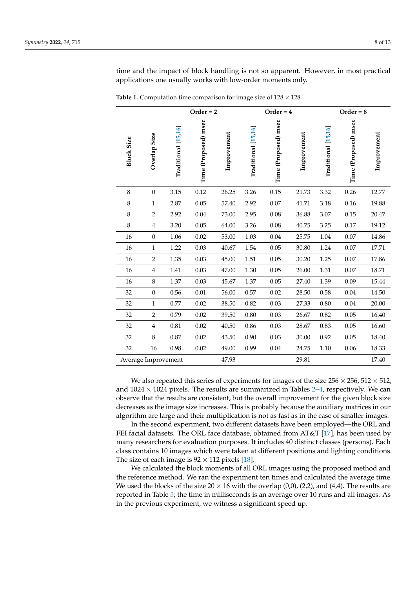time and the impact of block handling is not so apparent. However, in most practical applications one usually works with low-order moments only.

|                   |                         |                     | $Order = 2$          |             |                     | $Order = 4$          |             |                     | $Order = 8$          |             |
|-------------------|-------------------------|---------------------|----------------------|-------------|---------------------|----------------------|-------------|---------------------|----------------------|-------------|
| <b>Block Size</b> | Overlap Size            | Traditional [15.16] | Time (Proposed) msec | Improvement | Traditional [15,16] | Time (Proposed) msec | Improvement | Traditional [15,16] | Time (Proposed) msec | Improvement |
| $\,8\,$           | $\boldsymbol{0}$        | 3.15                | 0.12                 | 26.25       | 3.26                | 0.15                 | 21.73       | 3.32                | 0.26                 | 12.77       |
| 8                 | $\mathbf{1}$            | 2.87                | 0.05                 | 57.40       | 2.92                | 0.07                 | 41.71       | 3.18                | 0.16                 | 19.88       |
| 8                 | $\overline{2}$          | 2.92                | 0.04                 | 73.00       | 2.95                | 0.08                 | 36.88       | 3.07                | 0.15                 | 20.47       |
| 8                 | $\overline{\mathbf{4}}$ | 3.20                | 0.05                 | 64.00       | 3.26                | 0.08                 | 40.75       | 3.25                | 0.17                 | 19.12       |
| 16                | $\boldsymbol{0}$        | 1.06                | 0.02                 | 53.00       | 1.03                | 0.04                 | 25.75       | 1.04                | 0.07                 | 14.86       |
| 16                | $\mathbf{1}$            | 1.22                | 0.03                 | 40.67       | 1.54                | 0.05                 | 30.80       | 1.24                | 0.07                 | 17.71       |
| 16                | $\mathbf 2$             | 1.35                | 0.03                 | 45.00       | 1.51                | 0.05                 | 30.20       | 1.25                | $0.07\,$             | 17.86       |
| 16                | 4                       | 1.41                | 0.03                 | 47.00       | 1.30                | 0.05                 | 26.00       | 1.31                | 0.07                 | 18.71       |
| 16                | 8                       | 1.37                | 0.03                 | 45.67       | 1.37                | 0.05                 | 27.40       | 1.39                | 0.09                 | 15.44       |
| 32                | $\boldsymbol{0}$        | 0.56                | 0.01                 | 56.00       | 0.57                | 0.02                 | 28.50       | 0.58                | 0.04                 | 14.50       |
| 32                | $\mathbf{1}$            | 0.77                | 0.02                 | 38.50       | 0.82                | 0.03                 | 27.33       | 0.80                | 0.04                 | 20.00       |
| 32                | $\overline{2}$          | 0.79                | 0.02                 | 39.50       | 0.80                | 0.03                 | 26.67       | 0.82                | 0.05                 | 16.40       |
| 32                | 4                       | 0.81                | 0.02                 | 40.50       | 0.86                | 0.03                 | 28.67       | 0.83                | 0.05                 | 16.60       |
| 32                | 8                       | 0.87                | 0.02                 | 43.50       | 0.90                | 0.03                 | 30.00       | 0.92                | 0.05                 | 18.40       |
| 32                | $16\,$                  | 0.98                | 0.02                 | 49.00       | 0.99                | 0.04                 | 24.75       | 1.10                | 0.06                 | 18.33       |
|                   | Average Improvement     |                     |                      | 47.93       |                     |                      | 29.81       |                     |                      | 17.40       |

<span id="page-7-0"></span>**Table 1.** Computation time comparison for image size of  $128 \times 128$ .

We also repeated this series of experiments for images of the size  $256 \times 256$ ,  $512 \times 512$ , and  $1024 \times 1024$  pixels. The results are summarized in Tables [2–](#page-8-0)[4,](#page-9-0) respectively. We can observe that the results are consistent, but the overall improvement for the given block size decreases as the image size increases. This is probably because the auxiliary matrices in our algorithm are large and their multiplication is not as fast as in the case of smaller images.

In the second experiment, two different datasets have been employed—the ORL and FEI facial datasets. The ORL face database, obtained from AT&T [\[17\]](#page-12-4), has been used by many researchers for evaluation purposes. It includes 40 distinct classes (persons). Each class contains 10 images which were taken at different positions and lighting conditions. The size of each image is  $92 \times 112$  pixels [\[18\]](#page-12-5).

We calculated the block moments of all ORL images using the proposed method and the reference method. We ran the experiment ten times and calculated the average time. We used the blocks of the size  $20 \times 16$  with the overlap  $(0,0)$ ,  $(2,2)$ , and  $(4,4)$ . The results are reported in Table [5;](#page-10-0) the time in milliseconds is an average over 10 runs and all images. As in the previous experiment, we witness a significant speed up.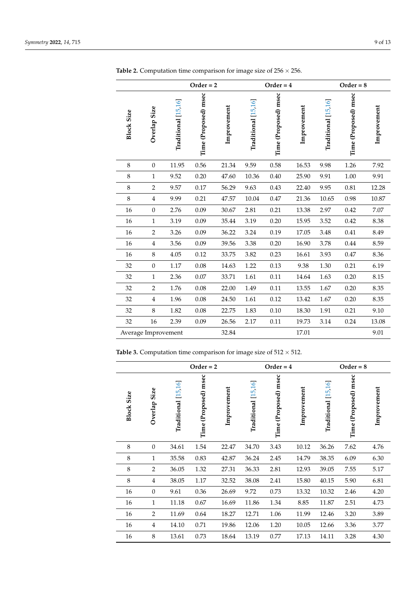|                   |                         |                     | $Order = 2$          |             |                     | $Order = 4$          |             |                     | $Order = 8$          |             |
|-------------------|-------------------------|---------------------|----------------------|-------------|---------------------|----------------------|-------------|---------------------|----------------------|-------------|
| <b>Block Size</b> | Overlap Size            | Traditional [15,16] | Time (Proposed) msec | Improvement | Traditional [15,16] | Time (Proposed) msec | Improvement | Traditional [15,16] | Time (Proposed) msec | Improvement |
| 8                 | $\boldsymbol{0}$        | 11.95               | 0.56                 | 21.34       | 9.59                | 0.58                 | 16.53       | 9.98                | 1.26                 | 7.92        |
| 8                 | $\mathbf{1}$            | 9.52                | 0.20                 | 47.60       | 10.36               | 0.40                 | 25.90       | 9.91                | 1.00                 | 9.91        |
| $\,8\,$           | $\overline{2}$          | 9.57                | 0.17                 | 56.29       | 9.63                | 0.43                 | 22.40       | 9.95                | 0.81                 | 12.28       |
| $\,8\,$           | $\overline{4}$          | 9.99                | 0.21                 | 47.57       | 10.04               | 0.47                 | 21.36       | 10.65               | 0.98                 | 10.87       |
| 16                | 0                       | 2.76                | 0.09                 | 30.67       | 2.81                | 0.21                 | 13.38       | 2.97                | 0.42                 | 7.07        |
| 16                | $\mathbf{1}$            | 3.19                | 0.09                 | 35.44       | 3.19                | 0.20                 | 15.95       | 3.52                | 0.42                 | 8.38        |
| 16                | $\overline{2}$          | 3.26                | 0.09                 | 36.22       | 3.24                | 0.19                 | 17.05       | 3.48                | 0.41                 | 8.49        |
| 16                | $\overline{\mathbf{4}}$ | 3.56                | 0.09                 | 39.56       | 3.38                | 0.20                 | 16.90       | 3.78                | 0.44                 | 8.59        |
| 16                | 8                       | 4.05                | 0.12                 | 33.75       | 3.82                | 0.23                 | 16.61       | 3.93                | 0.47                 | 8.36        |
| 32                | 0                       | 1.17                | 0.08                 | 14.63       | 1.22                | 0.13                 | 9.38        | 1.30                | 0.21                 | 6.19        |
| 32                | $\mathbf{1}$            | 2.36                | $0.07\,$             | 33.71       | 1.61                | 0.11                 | 14.64       | 1.63                | 0.20                 | 8.15        |
| 32                | $\overline{2}$          | 1.76                | 0.08                 | 22.00       | 1.49                | 0.11                 | 13.55       | 1.67                | 0.20                 | 8.35        |
| 32                | $\overline{\mathbf{4}}$ | 1.96                | 0.08                 | 24.50       | 1.61                | 0.12                 | 13.42       | 1.67                | 0.20                 | 8.35        |
| 32                | 8                       | 1.82                | 0.08                 | 22.75       | 1.83                | 0.10                 | 18.30       | 1.91                | 0.21                 | 9.10        |
| 32                | 16                      | 2.39                | 0.09                 | 26.56       | 2.17                | 0.11                 | 19.73       | 3.14                | 0.24                 | 13.08       |
|                   | Average Improvement     |                     |                      | 32.84       |                     |                      | 17.01       |                     |                      | 9.01        |

<span id="page-8-0"></span>**Table 2.** Computation time comparison for image size of 256  $\times$  256.

**Table 3.** Computation time comparison for image size of  $512 \times 512$ .

|                   |                        | $Order = 2$             |                      |             | $Order = 4$                    |                      |             | $Order = 8$         |                         |             |
|-------------------|------------------------|-------------------------|----------------------|-------------|--------------------------------|----------------------|-------------|---------------------|-------------------------|-------------|
| <b>Block Size</b> | <b>Size</b><br>Overlap | [15, 16]<br>Traditional | Time (Proposed) msec | Improvement | [15, 16]<br><b>Traditional</b> | Time (Proposed) msec | Improvement | Traditional [15,16] | msec<br>Time (Proposed) | Improvement |
| 8                 | $\mathbf{0}$           | 34.61                   | 1.54                 | 22.47       | 34.70                          | 3.43                 | 10.12       | 36.26               | 7.62                    | 4.76        |
| 8                 | $\mathbf{1}$           | 35.58                   | 0.83                 | 42.87       | 36.24                          | 2.45                 | 14.79       | 38.35               | 6.09                    | 6.30        |
| 8                 | $\overline{2}$         | 36.05                   | 1.32                 | 27.31       | 36.33                          | 2.81                 | 12.93       | 39.05               | 7.55                    | 5.17        |
| 8                 | 4                      | 38.05                   | 1.17                 | 32.52       | 38.08                          | 2.41                 | 15.80       | 40.15               | 5.90                    | 6.81        |
| 16                | $\theta$               | 9.61                    | 0.36                 | 26.69       | 9.72                           | 0.73                 | 13.32       | 10.32               | 2.46                    | 4.20        |
| 16                | $\mathbf{1}$           | 11.18                   | 0.67                 | 16.69       | 11.86                          | 1.34                 | 8.85        | 11.87               | 2.51                    | 4.73        |
| 16                | $\overline{2}$         | 11.69                   | 0.64                 | 18.27       | 12.71                          | 1.06                 | 11.99       | 12.46               | 3.20                    | 3.89        |
| 16                | $\overline{4}$         | 14.10                   | 0.71                 | 19.86       | 12.06                          | 1.20                 | 10.05       | 12.66               | 3.36                    | 3.77        |
| 16                | 8                      | 13.61                   | 0.73                 | 18.64       | 13.19                          | 0.77                 | 17.13       | 14.11               | 3.28                    | 4.30        |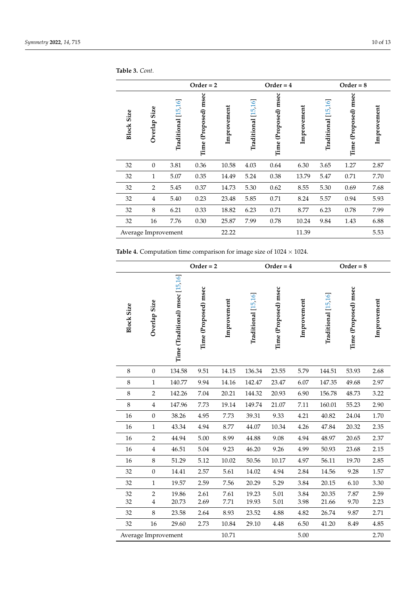|                     |                 | $Order = 2$                  |                         |             |                         | $Order = 4$          |             |                         | $Order = 8$          |             |  |
|---------------------|-----------------|------------------------------|-------------------------|-------------|-------------------------|----------------------|-------------|-------------------------|----------------------|-------------|--|
| <b>Block Size</b>   | Size<br>Overlap | $\text{traditional}$ [15,16] | (Proposed) msec<br>Time | Improvement | [15, 16]<br>Traditional | Time (Proposed) msec | Improvement | [15, 16]<br>Traditional | Time (Proposed) msec | Improvement |  |
| 32                  | $\mathbf{0}$    | 3.81                         | 0.36                    | 10.58       | 4.03                    | 0.64                 | 6.30        | 3.65                    | 1.27                 | 2.87        |  |
| 32                  | $\mathbf{1}$    | 5.07                         | 0.35                    | 14.49       | 5.24                    | 0.38                 | 13.79       | 5.47                    | 0.71                 | 7.70        |  |
| 32                  | $\overline{2}$  | 5.45                         | 0.37                    | 14.73       | 5.30                    | 0.62                 | 8.55        | 5.30                    | 0.69                 | 7.68        |  |
| 32                  | $\overline{4}$  | 5.40                         | 0.23                    | 23.48       | 5.85                    | 0.71                 | 8.24        | 5.57                    | 0.94                 | 5.93        |  |
| 32                  | 8               | 6.21                         | 0.33                    | 18.82       | 6.23                    | 0.71                 | 8.77        | 6.23                    | 0.78                 | 7.99        |  |
| 32                  | 16              | 7.76                         | 0.30                    | 25.87       | 7.99                    | 0.78                 | 10.24       | 9.84                    | 1.43                 | 6.88        |  |
| Average Improvement |                 |                              |                         | 22.22       |                         |                      | 11.39       |                         |                      | 5.53        |  |

**Table 3.** *Cont.*

<span id="page-9-0"></span>**Table 4.** Computation time comparison for image size of  $1024 \times 1024$ .

|                     |                  |                                 | $Order = 2$          |             | $Order = 4$         |                      |             | $Order = 8$         |                      |             |
|---------------------|------------------|---------------------------------|----------------------|-------------|---------------------|----------------------|-------------|---------------------|----------------------|-------------|
| <b>Block Size</b>   | Overlap Size     | Time (Traditional) msec [15,16] | Time (Proposed) msec | Improvement | Traditional [15,16] | Time (Proposed) msec | Improvement | Traditional [15,16] | Time (Proposed) msec | Improvement |
| 8                   | $\boldsymbol{0}$ | 134.58                          | 9.51                 | 14.15       | 136.34              | 23.55                | 5.79        | 144.51              | 53.93                | 2.68        |
| $\,8\,$             | $\mathbf{1}$     | 140.77                          | 9.94                 | 14.16       | 142.47              | 23.47                | 6.07        | 147.35              | 49.68                | 2.97        |
| $\,8\,$             | $\overline{2}$   | 142.26                          | 7.04                 | 20.21       | 144.32              | 20.93                | 6.90        | 156.78              | 48.73                | 3.22        |
| 8                   | $\overline{4}$   | 147.96                          | 7.73                 | 19.14       | 149.74              | 21.07                | 7.11        | 160.01              | 55.23                | 2.90        |
| 16                  | $\boldsymbol{0}$ | 38.26                           | 4.95                 | 7.73        | 39.31               | 9.33                 | 4.21        | 40.82               | 24.04                | 1.70        |
| 16                  | $\mathbf 1$      | 43.34                           | 4.94                 | 8.77        | 44.07               | 10.34                | 4.26        | 47.84               | 20.32                | 2.35        |
| 16                  | $\overline{2}$   | 44.94                           | 5.00                 | 8.99        | 44.88               | 9.08                 | 4.94        | 48.97               | 20.65                | 2.37        |
| 16                  | $\bf 4$          | 46.51                           | 5.04                 | 9.23        | 46.20               | 9.26                 | 4.99        | 50.93               | 23.68                | 2.15        |
| 16                  | $\,8\,$          | 51.29                           | 5.12                 | 10.02       | 50.56               | 10.17                | 4.97        | 56.11               | 19.70                | 2.85        |
| 32                  | $\boldsymbol{0}$ | 14.41                           | 2.57                 | 5.61        | 14.02               | 4.94                 | 2.84        | 14.56               | 9.28                 | 1.57        |
| 32                  | $\mathbf{1}$     | 19.57                           | 2.59                 | 7.56        | 20.29               | 5.29                 | 3.84        | 20.15               | 6.10                 | 3.30        |
| 32                  | $\sqrt{2}$       | 19.86                           | 2.61                 | 7.61        | 19.23               | 5.01                 | 3.84        | 20.35               | 7.87                 | 2.59        |
| 32                  | $\bf 4$          | 20.73                           | 2.69                 | 7.71        | 19.93               | 5.01                 | 3.98        | 21.66               | 9.70                 | 2.23        |
| 32                  | $\,8\,$          | 23.58                           | 2.64                 | 8.93        | 23.52               | 4.88                 | 4.82        | 26.74               | 9.87                 | 2.71        |
| 32                  | 16               | 29.60                           | 2.73                 | 10.84       | 29.10               | 4.48                 | 6.50        | 41.20               | 8.49                 | 4.85        |
| Average Improvement |                  |                                 | 10.71                |             |                     | 5.00                 |             |                     | 2.70                 |             |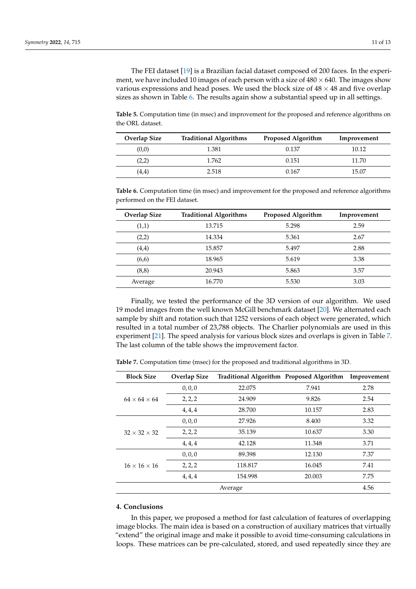The FEI dataset [\[19\]](#page-12-6) is a Brazilian facial dataset composed of 200 faces. In the experiment, we have included 10 images of each person with a size of  $480 \times 640$ . The images show various expressions and head poses. We used the block size of  $48 \times 48$  and five overlap sizes as shown in Table [6.](#page-10-1) The results again show a substantial speed up in all settings.

<span id="page-10-0"></span>**Table 5.** Computation time (in msec) and improvement for the proposed and reference algorithms on the ORL dataset.

| <b>Overlap Size</b> | <b>Traditional Algorithms</b> | <b>Proposed Algorithm</b> | Improvement |
|---------------------|-------------------------------|---------------------------|-------------|
| (0,0)               | 1.381                         | 0.137                     | 10.12       |
| (2,2)               | 1.762                         | 0.151                     | 11.70       |
| (4,4)               | 2.518                         | 0.167                     | 15.07       |

<span id="page-10-1"></span>**Table 6.** Computation time (in msec) and improvement for the proposed and reference algorithms performed on the FEI dataset.

| <b>Overlap Size</b> | <b>Traditional Algorithms</b> | <b>Proposed Algorithm</b> | Improvement |
|---------------------|-------------------------------|---------------------------|-------------|
| (1,1)               | 13.715                        | 5.298                     | 2.59        |
| (2,2)               | 14.334                        | 5.361                     | 2.67        |
| (4,4)               | 15.857                        | 5.497                     | 2.88        |
| (6,6)               | 18.965                        | 5.619                     | 3.38        |
| (8,8)               | 20.943                        | 5.863                     | 3.57        |
| Average             | 16.770                        | 5.530                     | 3.03        |

Finally, we tested the performance of the 3D version of our algorithm. We used 19 model images from the well known McGill benchmark dataset [\[20\]](#page-12-7). We alternated each sample by shift and rotation such that 1252 versions of each object were generated, which resulted in a total number of 23,788 objects. The Charlier polynomials are used in this experiment [\[21\]](#page-12-8). The speed analysis for various block sizes and overlaps is given in Table [7.](#page-10-2) The last column of the table shows the improvement factor.

<span id="page-10-2"></span>

|  |  | <b>Table 7.</b> Computation time (msec) for the proposed and traditional algorithms in 3D. |
|--|--|--------------------------------------------------------------------------------------------|
|--|--|--------------------------------------------------------------------------------------------|

| <b>Block Size</b>        | <b>Overlap Size</b> | Traditional Algorithm Proposed Algorithm Improvement |        |      |  |  |  |  |
|--------------------------|---------------------|------------------------------------------------------|--------|------|--|--|--|--|
|                          | 0, 0, 0             | 22.075                                               | 7.941  | 2.78 |  |  |  |  |
| $64 \times 64 \times 64$ | 2, 2, 2             | 24.909                                               | 9.826  | 2.54 |  |  |  |  |
|                          | 4, 4, 4             | 28.700                                               | 10.157 | 2.83 |  |  |  |  |
|                          | 0, 0, 0             | 27.926                                               | 8.400  | 3.32 |  |  |  |  |
| $32 \times 32 \times 32$ | 2, 2, 2             | 35.139                                               | 10.637 | 3.30 |  |  |  |  |
|                          | 4, 4, 4             | 42.128                                               | 11.348 | 3.71 |  |  |  |  |
|                          | 0, 0, 0             | 89.398                                               | 12.130 | 7.37 |  |  |  |  |
| $16 \times 16 \times 16$ | 2, 2, 2             | 118.817                                              | 16.045 | 7.41 |  |  |  |  |
|                          | 4, 4, 4             | 154.998                                              | 20.003 | 7.75 |  |  |  |  |
| Average                  |                     |                                                      |        |      |  |  |  |  |

#### **4. Conclusions**

In this paper, we proposed a method for fast calculation of features of overlapping image blocks. The main idea is based on a construction of auxiliary matrices that virtually "extend" the original image and make it possible to avoid time-consuming calculations in loops. These matrices can be pre-calculated, stored, and used repeatedly since they are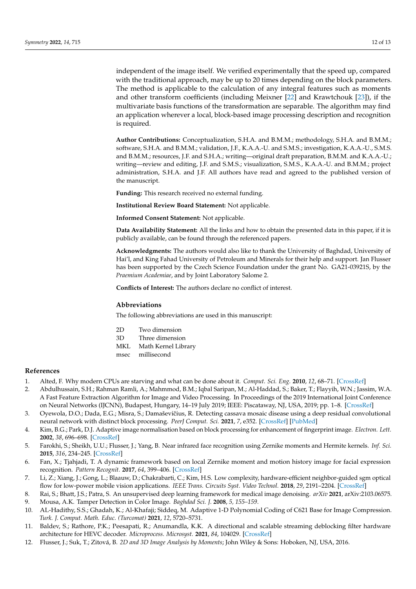independent of the image itself. We verified experimentally that the speed up, compared with the traditional approach, may be up to 20 times depending on the block parameters. The method is applicable to the calculation of any integral features such as moments and other transform coefficients (including Meixner [\[22\]](#page-12-9) and Krawtchouk [\[23\]](#page-12-10)), if the multivariate basis functions of the transformation are separable. The algorithm may find an application wherever a local, block-based image processing description and recognition is required.

**Author Contributions:** Conceptualization, S.H.A. and B.M.M.; methodology, S.H.A. and B.M.M.; software, S.H.A. and B.M.M.; validation, J.F., K.A.A.-U. and S.M.S.; investigation, K.A.A.-U., S.M.S. and B.M.M.; resources, J.F. and S.H.A.; writing—original draft preparation, B.M.M. and K.A.A.-U.; writing—review and editing, J.F. and S.M.S.; visualization, S.M.S., K.A.A.-U. and B.M.M.; project administration, S.H.A. and J.F. All authors have read and agreed to the published version of the manuscript.

**Funding:** This research received no external funding.

**Institutional Review Board Statement:** Not applicable.

**Informed Consent Statement:** Not applicable.

**Data Availability Statement:** All the links and how to obtain the presented data in this paper, if it is publicly available, can be found through the referenced papers.

**Acknowledgments:** The authors would also like to thank the University of Baghdad, University of Hai'l, and King Fahad University of Petroleum and Minerals for their help and support. Jan Flusser has been supported by the Czech Science Foundation under the grant No. GA21-03921S, by the *Praemium Academiae*, and by Joint Laboratory Salome 2.

**Conflicts of Interest:** The authors declare no conflict of interest.

# **Abbreviations**

The following abbreviations are used in this manuscript:

- 2D Two dimension
- 3D Three dimension
- MKL Math Kernel Library
- msec millisecond

# **References**

- <span id="page-11-0"></span>1. Alted, F. Why modern CPUs are starving and what can be done about it. *Comput. Sci. Eng.* **2010**, *12*, 68–71. [\[CrossRef\]](http://doi.org/10.1109/MCSE.2010.51)
- <span id="page-11-1"></span>2. Abdulhussain, S.H.; Rahman Ramli, A.; Mahmmod, B.M.; Iqbal Saripan, M.; Al-Haddad, S.; Baker, T.; Flayyih, W.N.; Jassim, W.A. A Fast Feature Extraction Algorithm for Image and Video Processing. In Proceedings of the 2019 International Joint Conference on Neural Networks (IJCNN), Budapest, Hungary, 14–19 July 2019; IEEE: Piscataway, NJ, USA, 2019; pp. 1–8. [\[CrossRef\]](http://dx.doi.org/10.1109/IJCNN.2019.8851750)
- <span id="page-11-2"></span>3. Oyewola, D.O.; Dada, E.G.; Misra, S.; Damaševičius, R. Detecting cassava mosaic disease using a deep residual convolutional neural network with distinct block processing. *PeerJ Comput. Sci.* **2021**, *7*, e352. [\[CrossRef\]](http://dx.doi.org/10.7717/peerj-cs.352) [\[PubMed\]](http://www.ncbi.nlm.nih.gov/pubmed/33817002)
- <span id="page-11-3"></span>4. Kim, B.G.; Park, D.J. Adaptive image normalisation based on block processing for enhancement of fingerprint image. *Electron. Lett.* **2002**, *38*, 696–698. [\[CrossRef\]](http://dx.doi.org/10.1049/el:20020507)
- <span id="page-11-4"></span>5. Farokhi, S.; Sheikh, U.U.; Flusser, J.; Yang, B. Near infrared face recognition using Zernike moments and Hermite kernels. *Inf. Sci.* **2015**, *316*, 234–245. [\[CrossRef\]](http://dx.doi.org/10.1016/j.ins.2015.04.030)
- <span id="page-11-5"></span>6. Fan, X.; Tjahjadi, T. A dynamic framework based on local Zernike moment and motion history image for facial expression recognition. *Pattern Recognit.* **2017**, *64*, 399–406. [\[CrossRef\]](http://dx.doi.org/10.1016/j.patcog.2016.12.002)
- <span id="page-11-6"></span>7. Li, Z.; Xiang, J.; Gong, L.; Blaauw, D.; Chakrabarti, C.; Kim, H.S. Low complexity, hardware-efficient neighbor-guided sgm optical flow for low-power mobile vision applications. *IEEE Trans. Circuits Syst. Video Technol.* **2018**, *29*, 2191–2204. [\[CrossRef\]](http://dx.doi.org/10.1109/TCSVT.2018.2854284)
- <span id="page-11-7"></span>8. Rai, S.; Bhatt, J.S.; Patra, S. An unsupervised deep learning framework for medical image denoising. *arXiv* **2021**, arXiv:2103.06575.
- <span id="page-11-8"></span>9. Mousa, A.K. Tamper Detection in Color Image. *Baghdad Sci. J.* **2008**, *5, 155–159*.
- <span id="page-11-9"></span>10. AL-Hadithy, S.S.; Ghadah, K.; Al-Khafaji; Siddeq, M. Adaptive 1-D Polynomial Coding of C621 Base for Image Compression. *Turk. J. Comput. Math. Educ. (Turcomat)* **2021**, *12*, 5720–5731.
- <span id="page-11-10"></span>11. Baldev, S.; Rathore, P.K.; Peesapati, R.; Anumandla, K.K. A directional and scalable streaming deblocking filter hardware architecture for HEVC decoder. *Microprocess. Microsyst.* **2021**, *84*, 104029. [\[CrossRef\]](http://dx.doi.org/10.1016/j.micpro.2021.104029)
- <span id="page-11-11"></span>12. Flusser, J.; Suk, T.; Zitová, B. *2D and 3D Image Analysis by Moments*; John Wiley & Sons: Hoboken, NJ, USA, 2016.